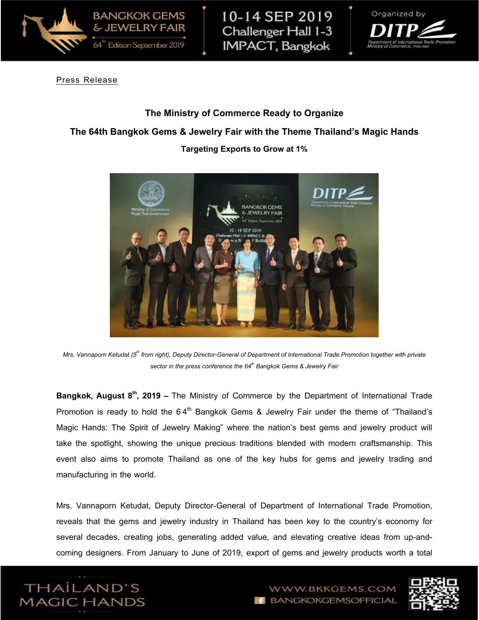

10-14 SEP 2019 Challenger Hall 1-3 **IMPACT, Bangkok** 



Press Release

## **The Ministry of Commerce Ready to Organize**

## **The 64th Bangkok Gems & Jewelry Fair with the Theme Thailand's Magic Hands**

#### **Targeting Exports to Grow at 1%**



*Mrs. Vannaporn Ketudat (5th from right), Deputy Director-General of Department of International Trade Promotion together with private sector in the press conference the 64th Bangkok Gems & Jewelry Fair*

**Bangkok, August 8th, 2019 –** The Ministry of Commerce by the Department of International Trade Promotion is ready to hold the 64 $^{\text{th}}$  Bangkok Gems & Jewelry Fair under the theme of "Thailand's Magic Hands: The Spirit of Jewelry Making" where the nation's best gems and jewelry product will take the spotlight, showing the unique precious traditions blended with modern craftsmanship. This event also aims to promote Thailand as one of the key hubs for gems and jewelry trading and manufacturing in the world.

Mrs. Vannaporn Ketudat, Deputy Director-General of Department of International Trade Promotion, reveals that the gems and jewelry industry in Thailand has been key to the country's economy for several decades, creating jobs, generating added value, and elevating creative ideas from up-andcoming designers. From January to June of 2019, export of gems and jewelry products worth a total





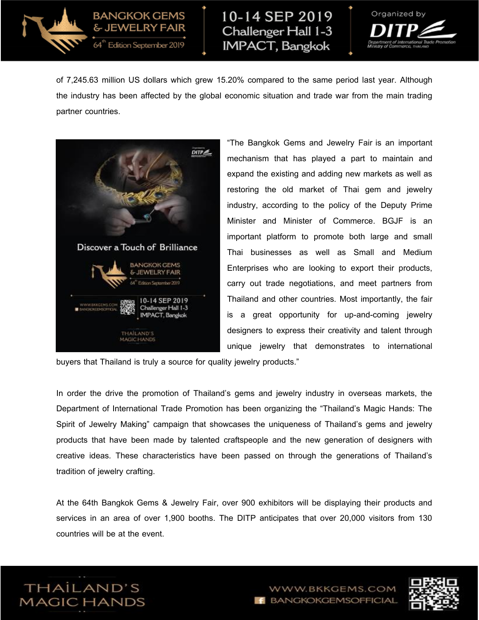

# 10-14 SEP 2019 Challenger Hall 1-3 **IMPACT, Bangkok**



of 7,245.63 million US dollars which grew 15.20% compared to the same period last year. Although the industry has been affected by the global economic situation and trade war from the main trading partner countries.



**BANGKOK GEMS** & JEWELRY FAIR

Edition September 2019

"The Bangkok Gems and Jewelry Fair is an important mechanism that has played a part to maintain and expand the existing and adding new markets as well as restoring the old market of Thai gem and jewelry industry, according to the policy of the Deputy Prime Minister and Minister of Commerce. BGJF is an important platform to promote both large and small Thai businesses as well as Small and Medium Enterprises who are looking to export their products, carry out trade negotiations, and meet partners from Thailand and other countries. Most importantly, the fair is a great opportunity for up-and-coming jewelry designers to express their creativity and talent through unique jewelry that demonstrates to international

buyers that Thailand is truly a source for quality jewelry products."

In order the drive the promotion of Thailand's gems and jewelry industry in overseas markets, the Department of International Trade Promotion has been organizing the "Thailand's Magic Hands: The Spirit of Jewelry Making" campaign that showcases the uniqueness of Thailand's gems and jewelry products that have been made by talented craftspeople and the new generation of designers with creative ideas. These characteristics have been passed on through the generations of Thailand's tradition of jewelry crafting.

At the 64th Bangkok Gems & Jewelry Fair, over 900 exhibitors will be displaying their products and services in an area of over 1,900 booths. The DITP anticipates that over 20,000 visitors from 130 countries will be at the event.





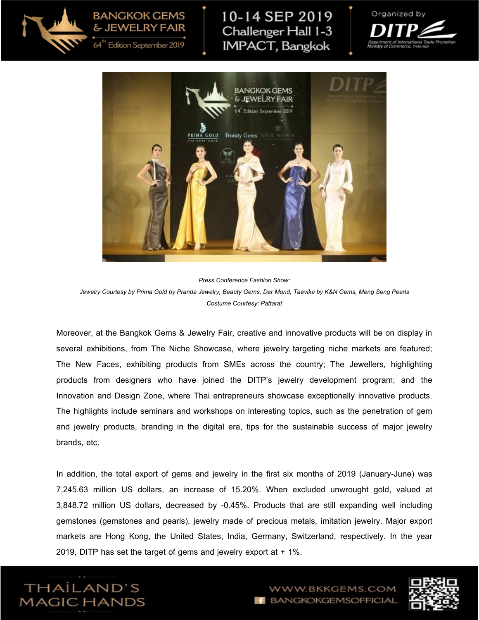**BANGKOK GEMS** & JEWELRY FAIR



Edition September 2019

## 10-14 SEP 2019 Challenger Hall 1-3 **IMPACT, Bangkok**





*Press Conference Fashion Show: Jewelry Courtesy by Prima Gold by Pranda Jewelry, Beauty Gems, Der Mond, Taevika by K&N Gems, Meng Seng Pearls Costume Courtesy: Pattarat*

Moreover, at the Bangkok Gems & Jewelry Fair, creative and innovative products will be on display in several exhibitions, from The Niche Showcase, where jewelry targeting niche markets are featured; The New Faces, exhibiting products from SMEs across the country; The Jewellers, highlighting products from designers who have joined the DITP's jewelry development program; and the Innovation and Design Zone, where Thai entrepreneurs showcase exceptionally innovative products. The highlights include seminars and workshops on interesting topics, such as the penetration of gem and jewelry products, branding in the digital era, tips for the sustainable success of major jewelry brands, etc.

In addition, the total export of gems and jewelry in the first six months of 2019 (January-June) was 7,245.63 million US dollars, an increase of 15.20%. When excluded unwrought gold, valued at 3,848.72 million US dollars, decreased by -0.45%. Products that are still expanding well including gemstones (gemstones and pearls), jewelry made of precious metals, imitation jewelry. Major export markets are Hong Kong, the United States, India, Germany, Switzerland, respectively. In the year 2019, DITP has set the target of gems and jewelry export at + 1%.



WW.BKKGEMS.COM BANGKOKGEMSOFFICIAL

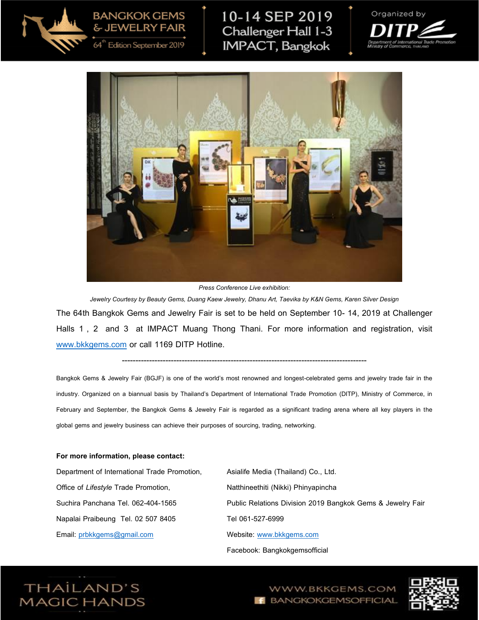**BANGKOK GEMS** & JEWELRY FAIR

Edition September 2019



10-14 SEP 2019 Challenger Hall 1-3 **IMPACT**, Bangkok





*Press Conference Live exhibition:* 

*Jewelry Courtesy by Beauty Gems, Duang Kaew Jewelry, Dhanu Art, Taevika by K&N Gems, Karen Silver Design* The 64th Bangkok Gems and Jewelry Fair is set to be held on September 10- 14, 2019 at Challenger Halls 1, 2 and 3 at IMPACT Muang Thong Thani. For more information and registration, visit [www.bkkgems.com](http://www.bkkgems.com/) or call 1169 DITP Hotline.

## ------------------------------------------------------------------------------------------

Bangkok Gems & Jewelry Fair (BGJF) is one of the world's most renowned and longest-celebrated gems and jewelry trade fair in the industry. Organized on a biannual basis by Thailand's Department of International Trade Promotion (DITP), Ministry of Commerce, in February and September, the Bangkok Gems & Jewelry Fair is regarded as a significant trading arena where all key players in the global gems and jewelry business can achieve their purposes of sourcing, trading, networking.

#### **For more information, please contact:**

Department of International Trade Promotion, Office of *Lifestyle* Trade Promotion, Suchira Panchana Tel. 062-404-1565 Napalai Praibeung Tel. 02 507 8405 Email: [prbkkgems@gmail.com](mailto:prbkkgems@gmail.com)

Asialife Media (Thailand) Co., Ltd. Natthineethiti (Nikki) Phinyapincha Public Relations Division 2019 Bangkok Gems & Jewelry Fair Tel 061-527-6999 Website: [www.bkkgems.com](http://www.bkkgems.com/) Facebook: Bangkokgemsofficial



WWW.BKKGEMS.COM BANGKOKGEMSOFFICIAL